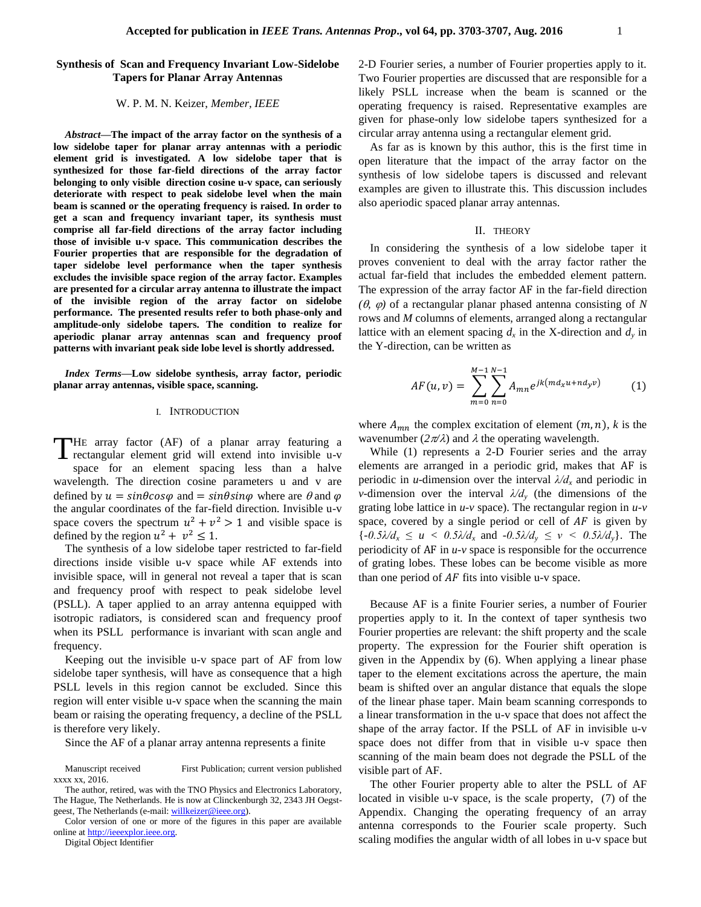# **Synthesis of Scan and Frequency Invariant Low-Sidelobe Tapers for Planar Array Antennas**

#### W. P. M. N. Keizer, *Member, IEEE*

*Abstract***—The impact of the array factor on the synthesis of a low sidelobe taper for planar array antennas with a periodic element grid is investigated. A low sidelobe taper that is synthesized for those far-field directions of the array factor belonging to only visible direction cosine u-v space, can seriously deteriorate with respect to peak sidelobe level when the main beam is scanned or the operating frequency is raised. In order to get a scan and frequency invariant taper, its synthesis must comprise all far-field directions of the array factor including those of invisible u-v space. This communication describes the Fourier properties that are responsible for the degradation of taper sidelobe level performance when the taper synthesis excludes the invisible space region of the array factor. Examples are presented for a circular array antenna to illustrate the impact of the invisible region of the array factor on sidelobe performance. The presented results refer to both phase-only and amplitude-only sidelobe tapers. The condition to realize for aperiodic planar array antennas scan and frequency proof patterns with invariant peak side lobe level is shortly addressed.** 

*Index Terms***—Low sidelobe synthesis, array factor, periodic planar array antennas, visible space, scanning.**

### I. INTRODUCTION

HE array factor (AF) of a planar array featuring a THE array factor (AF) of a planar array featuring a rectangular element grid will extend into invisible u-v space for an element spacing less than a halve wavelength. The direction cosine parameters u and v are defined by  $u = \sin\theta\cos\varphi$  and  $= \sin\theta\sin\varphi$  where are  $\theta$  and  $\varphi$ the angular coordinates of the far-field direction. Invisible u-v space covers the spectrum  $u^2 + v^2 > 1$  and visible space is defined by the region  $u^2 + v^2 \leq 1$ .

The synthesis of a low sidelobe taper restricted to far-field directions inside visible u-v space while AF extends into invisible space, will in general not reveal a taper that is scan and frequency proof with respect to peak sidelobe level (PSLL). A taper applied to an array antenna equipped with isotropic radiators, is considered scan and frequency proof when its PSLL performance is invariant with scan angle and frequency.

Keeping out the invisible u-v space part of AF from low sidelobe taper synthesis, will have as consequence that a high PSLL levels in this region cannot be excluded. Since this region will enter visible u-v space when the scanning the main beam or raising the operating frequency, a decline of the PSLL is therefore very likely.

Since the AF of a planar array antenna represents a finite

Manuscript received First Publication; current version published xxxx xx, 2016.

Digital Object Identifier

2-D Fourier series, a number of Fourier properties apply to it. Two Fourier properties are discussed that are responsible for a likely PSLL increase when the beam is scanned or the operating frequency is raised. Representative examples are given for phase-only low sidelobe tapers synthesized for a circular array antenna using a rectangular element grid.

As far as is known by this author, this is the first time in open literature that the impact of the array factor on the synthesis of low sidelobe tapers is discussed and relevant examples are given to illustrate this. This discussion includes also aperiodic spaced planar array antennas.

#### II. THEORY

In considering the synthesis of a low sidelobe taper it proves convenient to deal with the array factor rather the actual far-field that includes the embedded element pattern. The expression of the array factor AF in the far-field direction  $(\theta, \varphi)$  of a rectangular planar phased antenna consisting of N rows and *M* columns of elements, arranged along a rectangular lattice with an element spacing  $d_x$  in the X-direction and  $d_y$  in the Y-direction, can be written as

$$
AF(u,v) = \sum_{m=0}^{M-1} \sum_{n=0}^{N-1} A_{mn} e^{jk(md_x u + nd_y v)} \tag{1}
$$

where  $A_{mn}$  the complex excitation of element  $(m, n)$ , k is the wavenumber  $(2\pi/\lambda)$  and  $\lambda$  the operating wavelength.

While (1) represents a 2-D Fourier series and the array elements are arranged in a periodic grid, makes that AF is periodic in *u*-dimension over the interval  $\lambda/d<sub>x</sub>$  and periodic in *v*-dimension over the interval  $\lambda/d$ <sub>*y*</sub> (the dimensions of the grating lobe lattice in *u-v* space). The rectangular region in *u-v* space, covered by a single period or cell of  $AF$  is given by  $\{-0.5\lambda/d_x \le u < 0.5\lambda/d_x \text{ and } -0.5\lambda/d_y \le v < 0.5\lambda/d_y\}$ . The periodicity of AF in *u-v* space is responsible for the occurrence of grating lobes. These lobes can be become visible as more than one period of  $AF$  fits into visible u-v space.

Because AF is a finite Fourier series, a number of Fourier properties apply to it. In the context of taper synthesis two Fourier properties are relevant: the shift property and the scale property. The expression for the Fourier shift operation is given in the Appendix by (6). When applying a linear phase taper to the element excitations across the aperture, the main beam is shifted over an angular distance that equals the slope of the linear phase taper. Main beam scanning corresponds to a linear transformation in the u-v space that does not affect the shape of the array factor. If the PSLL of AF in invisible u-v space does not differ from that in visible u-v space then scanning of the main beam does not degrade the PSLL of the visible part of AF.

The other Fourier property able to alter the PSLL of AF located in visible u-v space, is the scale property, (7) of the Appendix. Changing the operating frequency of an array antenna corresponds to the Fourier scale property. Such scaling modifies the angular width of all lobes in u-v space but

The author, retired, was with the TNO Physics and Electronics Laboratory, The Hague, The Netherlands. He is now at Clinckenburgh 32, 2343 JH Oegst-geest, The Netherlands (e-mail[: willkeizer@ieee.org\)](mailto:willkeizer@ieee.org).

Color version of one or more of the figures in this paper are available online a[t http://ieeexplor.ieee.org.](http://ieeexplor.ieee.org/)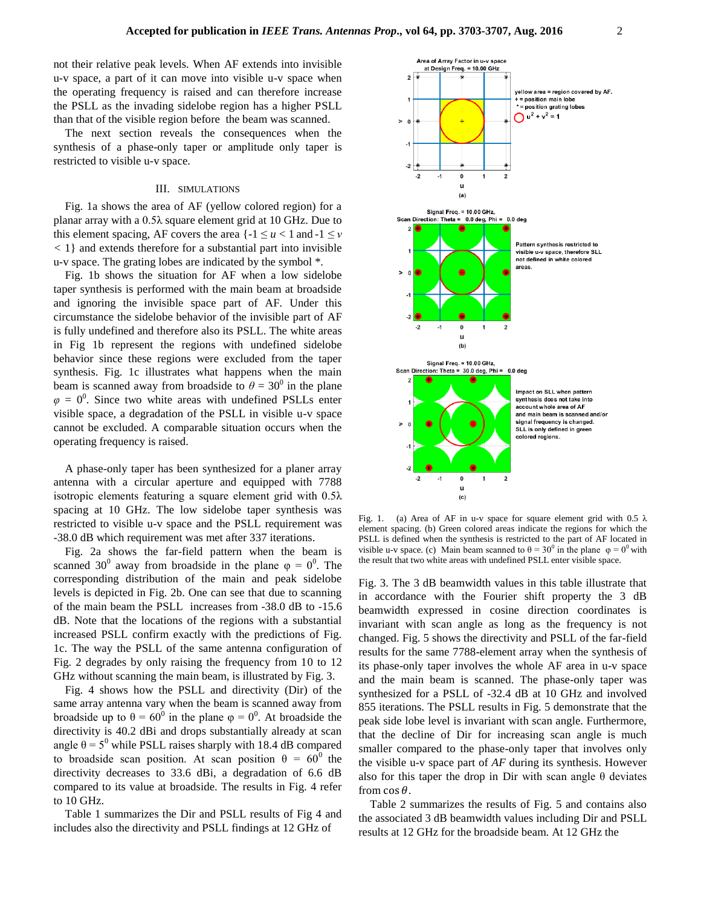not their relative peak levels. When AF extends into invisible u-v space, a part of it can move into visible u-v space when the operating frequency is raised and can therefore increase the PSLL as the invading sidelobe region has a higher PSLL than that of the visible region before the beam was scanned.

The next section reveals the consequences when the synthesis of a phase-only taper or amplitude only taper is restricted to visible u-v space.

### III. SIMULATIONS

Fig. 1a shows the area of AF (yellow colored region) for a planar array with a 0.5λ square element grid at 10 GHz. Due to this element spacing, AF covers the area  $\{-1 \le u < 1 \text{ and } -1 \le v\}$ *<* 1} and extends therefore for a substantial part into invisible u-v space. The grating lobes are indicated by the symbol \*.

Fig. 1b shows the situation for AF when a low sidelobe taper synthesis is performed with the main beam at broadside and ignoring the invisible space part of AF*.* Under this circumstance the sidelobe behavior of the invisible part of AF is fully undefined and therefore also its PSLL. The white areas in Fig 1b represent the regions with undefined sidelobe behavior since these regions were excluded from the taper synthesis. Fig. 1c illustrates what happens when the main beam is scanned away from broadside to  $\theta = 30^{\circ}$  in the plane  $\varphi = 0^0$ . Since two white areas with undefined PSLLs enter visible space, a degradation of the PSLL in visible u-v space cannot be excluded. A comparable situation occurs when the operating frequency is raised.

A phase-only taper has been synthesized for a planer array antenna with a circular aperture and equipped with 7788 isotropic elements featuring a square element grid with 0.5λ spacing at 10 GHz. The low sidelobe taper synthesis was restricted to visible u-v space and the PSLL requirement was -38.0 dB which requirement was met after 337 iterations.

Fig. 2a shows the far-field pattern when the beam is scanned 30<sup>0</sup> away from broadside in the plane  $\varphi = 0^0$ . The corresponding distribution of the main and peak sidelobe levels is depicted in Fig. 2b. One can see that due to scanning of the main beam the PSLL increases from -38.0 dB to -15.6 dB. Note that the locations of the regions with a substantial increased PSLL confirm exactly with the predictions of Fig. 1c. The way the PSLL of the same antenna configuration of Fig. 2 degrades by only raising the frequency from 10 to 12 GHz without scanning the main beam, is illustrated by Fig. 3.

Fig. 4 shows how the PSLL and directivity (Dir) of the same array antenna vary when the beam is scanned away from broadside up to  $\theta = 60^0$  in the plane  $\varphi = 0^0$ . At broadside the directivity is 40.2 dBi and drops substantially already at scan angle  $\theta = 5^{\circ}$  while PSLL raises sharply with 18.4 dB compared to broadside scan position. At scan position  $\theta = 60^{\circ}$  the directivity decreases to 33.6 dBi, a degradation of 6.6 dB compared to its value at broadside. The results in Fig. 4 refer to 10 GHz.

Table 1 summarizes the Dir and PSLL results of Fig 4 and includes also the directivity and PSLL findings at 12 GHz of



Fig. 1. (a) Area of AF in u-v space for square element grid with 0.5  $\lambda$ element spacing. (b) Green colored areas indicate the regions for which the PSLL is defined when the synthesis is restricted to the part of AF located in visible u-v space. (c) Main beam scanned to  $\theta = 30^{\circ}$  in the plane  $\varphi = 0^{\circ}$  with the result that two white areas with undefined PSLL enter visible space.

Fig. 3. The 3 dB beamwidth values in this table illustrate that in accordance with the Fourier shift property the 3 dB beamwidth expressed in cosine direction coordinates is invariant with scan angle as long as the frequency is not changed. Fig. 5 shows the directivity and PSLL of the far-field results for the same 7788-element array when the synthesis of its phase-only taper involves the whole AF area in u-v space and the main beam is scanned. The phase-only taper was synthesized for a PSLL of -32.4 dB at 10 GHz and involved 855 iterations. The PSLL results in Fig. 5 demonstrate that the peak side lobe level is invariant with scan angle. Furthermore, that the decline of Dir for increasing scan angle is much smaller compared to the phase-only taper that involves only the visible u-v space part of *AF* during its synthesis. However also for this taper the drop in Dir with scan angle  $\theta$  deviates from  $\cos \theta$ .

Table 2 summarizes the results of Fig. 5 and contains also the associated 3 dB beamwidth values including Dir and PSLL results at 12 GHz for the broadside beam. At 12 GHz the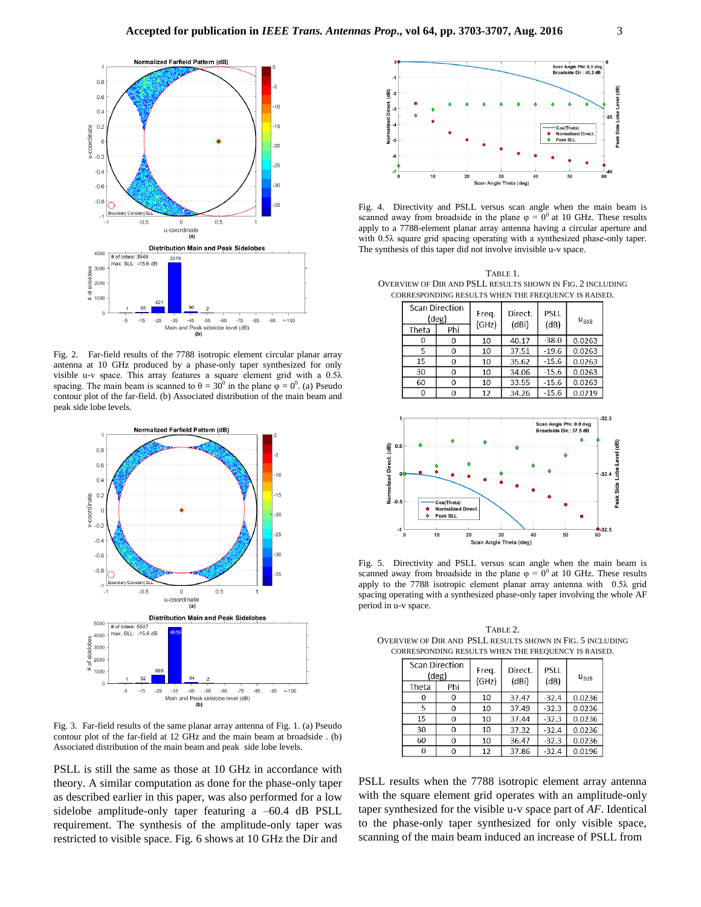

Fig. 2. Far-field results of the 7788 isotropic element circular planar array antenna at 10 GHz produced by a phase-only taper synthesized for only visible u-v space. This array features a square element grid with a 0.5λ spacing. The main beam is scanned to  $\theta = 30^{\circ}$  in the plane  $\varphi = 0^{\circ}$ . (a) Pseudo contour plot of the far-field. (b) Associated distribution of the main beam and peak side lobe levels.



Fig. 3. Far-field results of the same planar array antenna of Fig. 1. (a) Pseudo contour plot of the far-field at 12 GHz and the main beam at broadside . (b) Associated distribution of the main beam and peak side lobe levels.

PSLL is still the same as those at 10 GHz in accordance with theory. A similar computation as done for the phase-only taper as described earlier in this paper, was also performed for a low sidelobe amplitude-only taper featuring a -60.4 dB PSLL requirement. The synthesis of the amplitude-only taper was restricted to visible space. Fig. 6 shows at 10 GHz the Dir and



Fig. 4. Directivity and PSLL versus scan angle when the main beam is scanned away from broadside in the plane  $\varphi = 0^0$  at 10 GHz. These results apply to a 7788-element planar array antenna having a circular aperture and with 0.5λ square grid spacing operating with a synthesized phase-only taper. The synthesis of this taper did not involve invisible u-v space.

TABLE 1. OVERVIEW OF DIR AND PSLL RESULTS SHOWN IN FIG. 2 INCLUDING CORRESPONDING RESULTS WHEN THE FREQUENCY IS RAISED.

| <b>Scan Direction</b><br>$(\text{deg})$ |     | Freq. | Direct. | PSLL<br>(dB) | $u_{3dB}$ |
|-----------------------------------------|-----|-------|---------|--------------|-----------|
| Theta                                   | Phi | (GHz) | (dBi)   |              |           |
| 0                                       | 0   | 10    | 40.17   | $-38.0$      | 0.0263    |
| 5                                       | 0   | 10    | 37.51   | $-19.6$      | 0.0263    |
| 15                                      | 0   | 10    | 35.62   | $-15.6$      | 0.0263    |
| 30                                      | 0   | 10    | 34.06   | $-15.6$      | 0.0263    |
| 60                                      | 0   | 10    | 33.55   | $-15.6$      | 0.0263    |
| 0                                       |     | 12    | 34.26   | $-15.6$      | 0.0219    |



Fig. 5. Directivity and PSLL versus scan angle when the main beam is scanned away from broadside in the plane  $\varphi = 0^0$  at 10 GHz. These results apply to the 7788 isotropic element planar array antenna with 0.5λ grid spacing operating with a synthesized phase-only taper involving the whole AF period in u-v space.

TABLE 2. OVERVIEW OF DIR AND PSLL RESULTS SHOWN IN FIG. 5 INCLUDING CORRESPONDING RESULTS WHEN THE FREQUENCY IS RAISED.

| <b>Scan Direction</b><br>$(\deg)$ |     | Freq.<br>(GHz) | Direct.<br>(dBi) | PSLL<br>(dB) | $u_{3dB}$ |  |  |  |
|-----------------------------------|-----|----------------|------------------|--------------|-----------|--|--|--|
| Theta                             | Phi |                |                  |              |           |  |  |  |
|                                   | 0   | 10             | 37.47            | $-32.4$      | 0.0236    |  |  |  |
| 5                                 | 0   | 10             | 37.49            | $-32.3$      | 0.0236    |  |  |  |
| 15                                | 0   | 10             | 37.44            | $-32.3$      | 0.0236    |  |  |  |
| 30                                | 0   | 10             | 37.32            | $-32.4$      | 0.0236    |  |  |  |
| 60                                | 0   | 10             | 36.47            | $-32.3$      | 0.0236    |  |  |  |
|                                   | 0   | 12             | 37.86            | $-32.4$      | 0.0196    |  |  |  |

PSLL results when the 7788 isotropic element array antenna with the square element grid operates with an amplitude-only taper synthesized for the visible u-v space part of *AF*. Identical to the phase-only taper synthesized for only visible space, scanning of the main beam induced an increase of PSLL from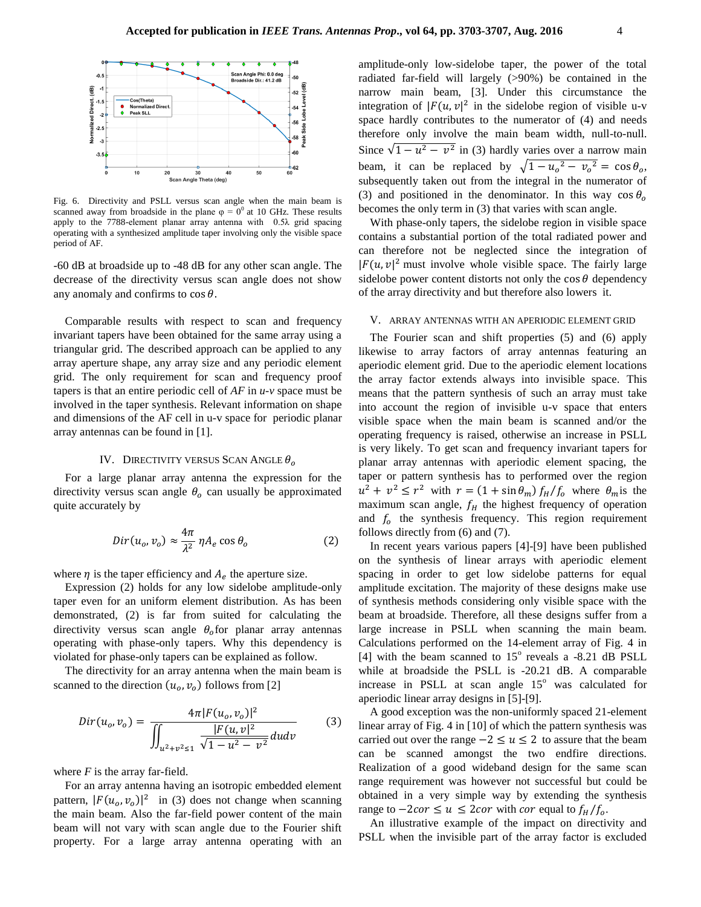

Fig. 6. Directivity and PSLL versus scan angle when the main beam is scanned away from broadside in the plane  $\varphi = 0^0$  at 10 GHz. These results apply to the 7788-element planar array antenna with 0.5λ grid spacing operating with a synthesized amplitude taper involving only the visible space period of AF.

-60 dB at broadside up to -48 dB for any other scan angle. The decrease of the directivity versus scan angle does not show any anomaly and confirms to  $\cos \theta$ .

Comparable results with respect to scan and frequency invariant tapers have been obtained for the same array using a triangular grid. The described approach can be applied to any array aperture shape, any array size and any periodic element grid. The only requirement for scan and frequency proof tapers is that an entire periodic cell of *AF* in *u-v* space must be involved in the taper synthesis. Relevant information on shape and dimensions of the AF cell in u-v space for periodic planar array antennas can be found in [1].

### IV. DIRECTIVITY VERSUS SCAN ANGLE  $\theta_{o}$

For a large planar array antenna the expression for the directivity versus scan angle  $\theta_0$  can usually be approximated quite accurately by

$$
Dir(u_o, v_o) \approx \frac{4\pi}{\lambda^2} \eta A_e \cos \theta_o \tag{2}
$$

where  $\eta$  is the taper efficiency and  $A_e$  the aperture size.

Expression (2) holds for any low sidelobe amplitude-only taper even for an uniform element distribution. As has been demonstrated, (2) is far from suited for calculating the directivity versus scan angle  $\theta_o$  for planar array antennas operating with phase-only tapers. Why this dependency is violated for phase-only tapers can be explained as follow.

The directivity for an array antenna when the main beam is scanned to the direction  $(u_0, v_0)$  follows from [2]

$$
Dir(u_o, v_o) = \frac{4\pi |F(u_o, v_o)|^2}{\iint_{u^2 + v^2 \le 1} \frac{|F(u, v)|^2}{\sqrt{1 - u^2 - v^2}} du dv}
$$
(3)

where *F* is the array far-field.

For an array antenna having an isotropic embedded element pattern,  $|F(u_0, v_0)|^2$  in (3) does not change when scanning the main beam. Also the far-field power content of the main beam will not vary with scan angle due to the Fourier shift property. For a large array antenna operating with an

amplitude-only low-sidelobe taper, the power of the total radiated far-field will largely (>90%) be contained in the narrow main beam, [3]. Under this circumstance the integration of  $|F(u, v)|^2$  in the sidelobe region of visible u-v space hardly contributes to the numerator of (4) and needs therefore only involve the main beam width, null-to-null. Since  $\sqrt{1 - u^2 - v^2}$  in (3) hardly varies over a narrow main beam, it can be replaced by  $\sqrt{1 - u_o^2 - v_o^2} = \cos \theta_o$ , subsequently taken out from the integral in the numerator of (3) and positioned in the denominator. In this way  $\cos \theta$ becomes the only term in (3) that varies with scan angle.

With phase-only tapers, the sidelobe region in visible space contains a substantial portion of the total radiated power and can therefore not be neglected since the integration of  $|F(u, v)|^2$  must involve whole visible space. The fairly large sidelobe power content distorts not only the  $\cos \theta$  dependency of the array directivity and but therefore also lowers it.

# V. ARRAY ANTENNAS WITH AN APERIODIC ELEMENT GRID

The Fourier scan and shift properties (5) and (6) apply likewise to array factors of array antennas featuring an aperiodic element grid. Due to the aperiodic element locations the array factor extends always into invisible space. This means that the pattern synthesis of such an array must take into account the region of invisible u-v space that enters visible space when the main beam is scanned and/or the operating frequency is raised, otherwise an increase in PSLL is very likely. To get scan and frequency invariant tapers for planar array antennas with aperiodic element spacing, the taper or pattern synthesis has to performed over the region  $u^2 + v^2 \le r^2$  with  $r = (1 + \sin \theta_m) f_H / f_0$  where  $\theta_m$  is the maximum scan angle,  $f_H$  the highest frequency of operation and  $f_0$  the synthesis frequency. This region requirement follows directly from (6) and (7).

In recent years various papers [4]-[9] have been published on the synthesis of linear arrays with aperiodic element spacing in order to get low sidelobe patterns for equal amplitude excitation. The majority of these designs make use of synthesis methods considering only visible space with the beam at broadside. Therefore, all these designs suffer from a large increase in PSLL when scanning the main beam. Calculations performed on the 14-element array of Fig. 4 in [4] with the beam scanned to  $15^{\circ}$  reveals a -8.21 dB PSLL while at broadside the PSLL is -20.21 dB. A comparable increase in PSLL at scan angle  $15^{\circ}$  was calculated for aperiodic linear array designs in [5]-[9].

A good exception was the non-uniformly spaced 21-element linear array of Fig. 4 in [10] of which the pattern synthesis was carried out over the range  $-2 \le u \le 2$  to assure that the beam can be scanned amongst the two endfire directions. Realization of a good wideband design for the same scan range requirement was however not successful but could be obtained in a very simple way by extending the synthesis range to  $-2cor \le u \le 2cor$  with cor equal to  $f_H/f_o$ .

An illustrative example of the impact on directivity and PSLL when the invisible part of the array factor is excluded